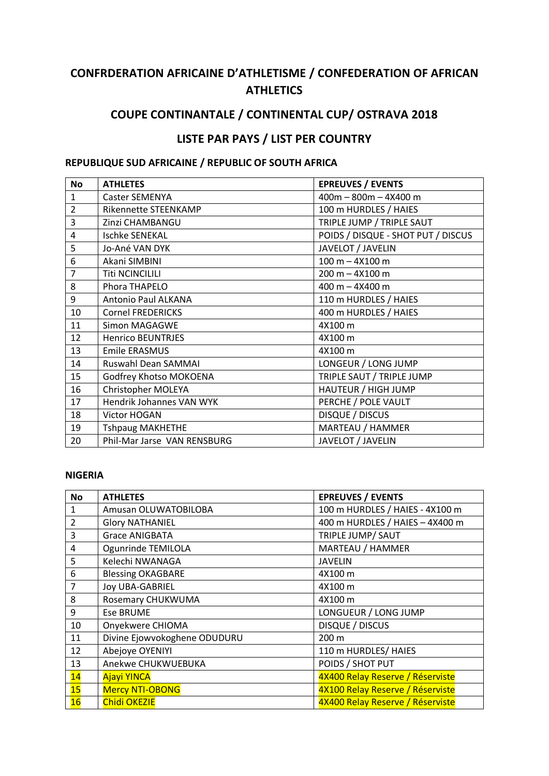# **CONFRDERATION AFRICAINE D'ATHLETISME / CONFEDERATION OF AFRICAN ATHLETICS**

## COUPE CONTINANTALE / CONTINENTAL CUP/ OSTRAVA 2018

## LISTE PAR PAYS / LIST PER COUNTRY

### REPUBLIQUE SUD AFRICAINE / REPUBLIC OF SOUTH AFRICA

| <b>No</b>      | <b>ATHLETES</b>                 | <b>EPREUVES / EVENTS</b>           |
|----------------|---------------------------------|------------------------------------|
| $\mathbf{1}$   | <b>Caster SEMENYA</b>           | $400m - 800m - 4X400m$             |
| $\overline{2}$ | Rikennette STEENKAMP            | 100 m HURDLES / HAIES              |
| 3              | Zinzi CHAMBANGU                 | TRIPLE JUMP / TRIPLE SAUT          |
| 4              | <b>Ischke SENEKAL</b>           | POIDS / DISQUE - SHOT PUT / DISCUS |
| 5              | Jo-Ané VAN DYK                  | JAVELOT / JAVELIN                  |
| 6              | Akani SIMBINI                   | $100 m - 4X100 m$                  |
| $\overline{7}$ | <b>Titi NCINCILILI</b>          | $200 m - 4X100 m$                  |
| 8              | Phora THAPELO                   | 400 m - 4X400 m                    |
| 9              | Antonio Paul ALKANA             | 110 m HURDLES / HAIES              |
| 10             | <b>Cornel FREDERICKS</b>        | 400 m HURDLES / HAIES              |
| 11             | <b>Simon MAGAGWE</b>            | 4X100 m                            |
| 12             | <b>Henrico BEUNTRJES</b>        | 4X100 m                            |
| 13             | <b>Emile ERASMUS</b>            | 4X100 m                            |
| 14             | Ruswahl Dean SAMMAI             | LONGEUR / LONG JUMP                |
| 15             | Godfrey Khotso MOKOENA          | TRIPLE SAUT / TRIPLE JUMP          |
| 16             | Christopher MOLEYA              | HAUTEUR / HIGH JUMP                |
| 17             | <b>Hendrik Johannes VAN WYK</b> | PERCHE / POLE VAULT                |
| 18             | Victor HOGAN                    | DISQUE / DISCUS                    |
| 19             | <b>Tshpaug MAKHETHE</b>         | MARTEAU / HAMMER                   |
| 20             | Phil-Mar Jarse VAN RENSBURG     | JAVELOT / JAVELIN                  |

### **NIGERIA**

| No             | <b>ATHLETES</b>              | <b>EPREUVES / EVENTS</b>         |
|----------------|------------------------------|----------------------------------|
| 1              | Amusan OLUWATOBILOBA         | 100 m HURDLES / HAIES - 4X100 m  |
| $\overline{2}$ | <b>Glory NATHANIEL</b>       | 400 m HURDLES / HAIES - 4X400 m  |
| 3              | <b>Grace ANIGBATA</b>        | TRIPLE JUMP/ SAUT                |
| 4              | Ogunrinde TEMILOLA           | MARTEAU / HAMMER                 |
| 5              | Kelechi NWANAGA              | <b>JAVELIN</b>                   |
| 6              | <b>Blessing OKAGBARE</b>     | 4X100 m                          |
| $\overline{7}$ | <b>Joy UBA-GABRIEL</b>       | 4X100 m                          |
| 8              | Rosemary CHUKWUMA            | 4X100 m                          |
| 9              | Ese BRUME                    | LONGUEUR / LONG JUMP             |
| 10             | Onyekwere CHIOMA             | DISQUE / DISCUS                  |
| 11             | Divine Ejowvokoghene ODUDURU | $200 \text{ m}$                  |
| 12             | Abejoye OYENIYI              | 110 m HURDLES/ HAIES             |
| 13             | Anekwe CHUKWUEBUKA           | POIDS / SHOT PUT                 |
| 14             | <b>Ajayi YINCA</b>           | 4X400 Relay Reserve / Réserviste |
| 15             | <b>Mercy NTI-OBONG</b>       | 4X100 Relay Reserve / Réserviste |
| 16             | <b>Chidi OKEZIE</b>          | 4X400 Relay Reserve / Réserviste |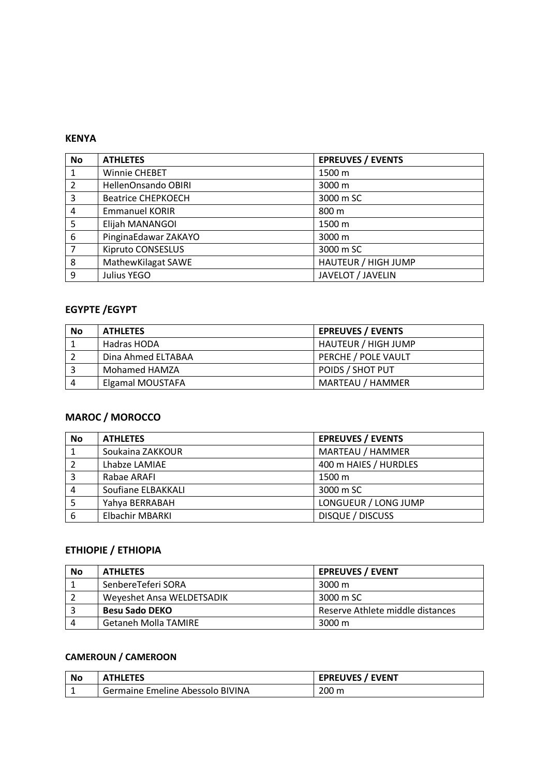### **KENYA**

| <b>No</b>      | <b>ATHLETES</b>           | <b>EPREUVES / EVENTS</b> |
|----------------|---------------------------|--------------------------|
|                | Winnie CHEBET             | 1500 m                   |
| $\overline{2}$ | HellenOnsando OBIRI       | 3000 m                   |
| 3              | <b>Beatrice CHEPKOECH</b> | 3000 m SC                |
| 4              | <b>Emmanuel KORIR</b>     | 800 m                    |
| 5              | Elijah MANANGOI           | 1500 m                   |
| 6              | PinginaEdawar ZAKAYO      | 3000 m                   |
| 7              | Kipruto CONSESLUS         | 3000 m SC                |
| 8              | MathewKilagat SAWE        | HAUTEUR / HIGH JUMP      |
| 9              | Julius YEGO               | JAVELOT / JAVELIN        |

## **EGYPTE / EGYPT**

| <b>No</b> | <b>ATHLETES</b>    | <b>EPREUVES / EVENTS</b> |
|-----------|--------------------|--------------------------|
|           | Hadras HODA        | HAUTEUR / HIGH JUMP      |
|           | Dina Ahmed ELTABAA | PERCHE / POLE VAULT      |
|           | Mohamed HAMZA      | POIDS / SHOT PUT         |
| 4         | Elgamal MOUSTAFA   | MARTEAU / HAMMER         |

## **MAROC / MOROCCO**

| <b>No</b> | <b>ATHLETES</b>        | <b>EPREUVES / EVENTS</b> |
|-----------|------------------------|--------------------------|
|           | Soukaina ZAKKOUR       | MARTEAU / HAMMER         |
|           | Lhabze LAMIAE          | 400 m HAIES / HURDLES    |
|           | Rabae ARAFI            | 1500 m                   |
| 4         | Soufiane ELBAKKALI     | 3000 m SC                |
|           | Yahya BERRABAH         | LONGUEUR / LONG JUMP     |
| 6         | <b>Elbachir MBARKI</b> | <b>DISQUE / DISCUSS</b>  |

### **ETHIOPIE / ETHIOPIA**

| No | <b>ATHLETES</b>             | <b>EPREUVES / EVENT</b>          |
|----|-----------------------------|----------------------------------|
|    | SenbereTeferi SORA          | 3000 m                           |
|    | Weyeshet Ansa WELDETSADIK   | 3000 m SC                        |
|    | <b>Besu Sado DEKO</b>       | Reserve Athlete middle distances |
|    | <b>Getaneh Molla TAMIRE</b> | 3000 m                           |

### **CAMEROUN / CAMEROON**

| <b>No</b> | <b>ATHLETES</b>                  | <b>EPREUVES / EVENT</b> |
|-----------|----------------------------------|-------------------------|
|           | Germaine Emeline Abessolo BIVINA | 200 <sub>m</sub>        |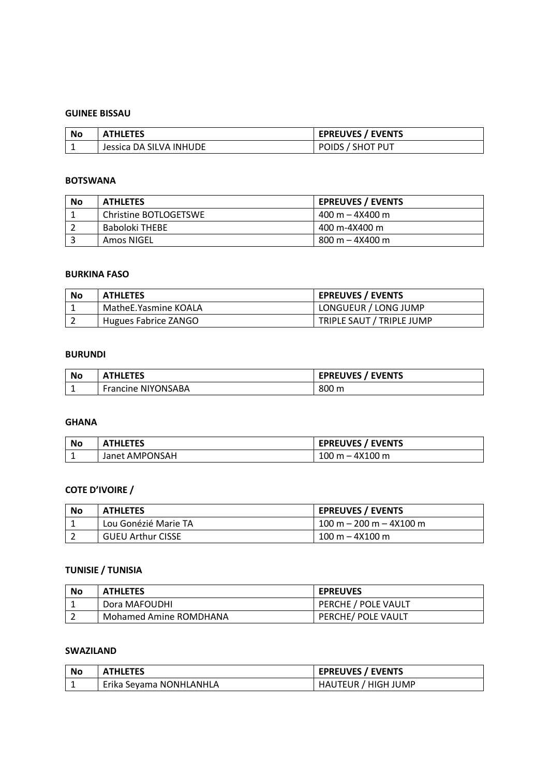#### **GUINEE BISSAU**

| No | <b>ATHLETES</b>         | <b>EPREUVES / EVENTS</b> |
|----|-------------------------|--------------------------|
|    | Jessica DA SILVA INHUDE | POIDS / SHOT PUT         |

### **BOTSWANA**

| <b>No</b> | <b>ATHLETES</b>       | <b>EPREUVES / EVENTS</b> |
|-----------|-----------------------|--------------------------|
|           | Christine BOTLOGETSWE | $400 m - 4X400 m$        |
|           | Baboloki THEBE        | 400 m-4X400 m            |
|           | Amos NIGEL            | $800 m - 4X400 m$        |

#### **BURKINA FASO**

| No | <b>ATHLETES</b>      | <b>EPREUVES / EVENTS</b>  |
|----|----------------------|---------------------------|
|    | MatheE.Yasmine KOALA | LONGUEUR / LONG JUMP      |
|    | Hugues Fabrice ZANGO | TRIPLE SAUT / TRIPLE JUMP |

#### **BURUNDI**

| <b>No</b> | <b>ATHLETES</b>           | <b>EPREUVES / EVENTS</b> |
|-----------|---------------------------|--------------------------|
|           | <b>Francine NIYONSABA</b> | 800 m                    |

#### **GHANA**

| No | <b>ATHLETES</b> | <b>EPREUVES / EVENTS</b> |
|----|-----------------|--------------------------|
|    | Janet AMPONSAH  | $100 m - 4X100 m$        |

### **COTE D'IVOIRE /**

| No | <b>ATHLETES</b>          | <b>EPREUVES / EVENTS</b>  |
|----|--------------------------|---------------------------|
|    | Lou Gonézié Marie TA     | $100 m - 200 m - 4X100 m$ |
|    | <b>GUEU Arthur CISSE</b> | $100 m - 4X100 m$         |

### **TUNISIE / TUNISIA**

| No | <b>ATHLETES</b>        | <b>EPREUVES</b>     |
|----|------------------------|---------------------|
|    | Dora MAFOUDHI          | PERCHE / POLE VAULT |
|    | Mohamed Amine ROMDHANA | PERCHE/ POLE VAULT  |

### **SWAZILAND**

| No | <b>ATHLETES</b>         | <b>EPREUVES / EVENTS</b> |
|----|-------------------------|--------------------------|
|    | Erika Seyama NONHLANHLA | HAUTEUR / HIGH JUMP      |